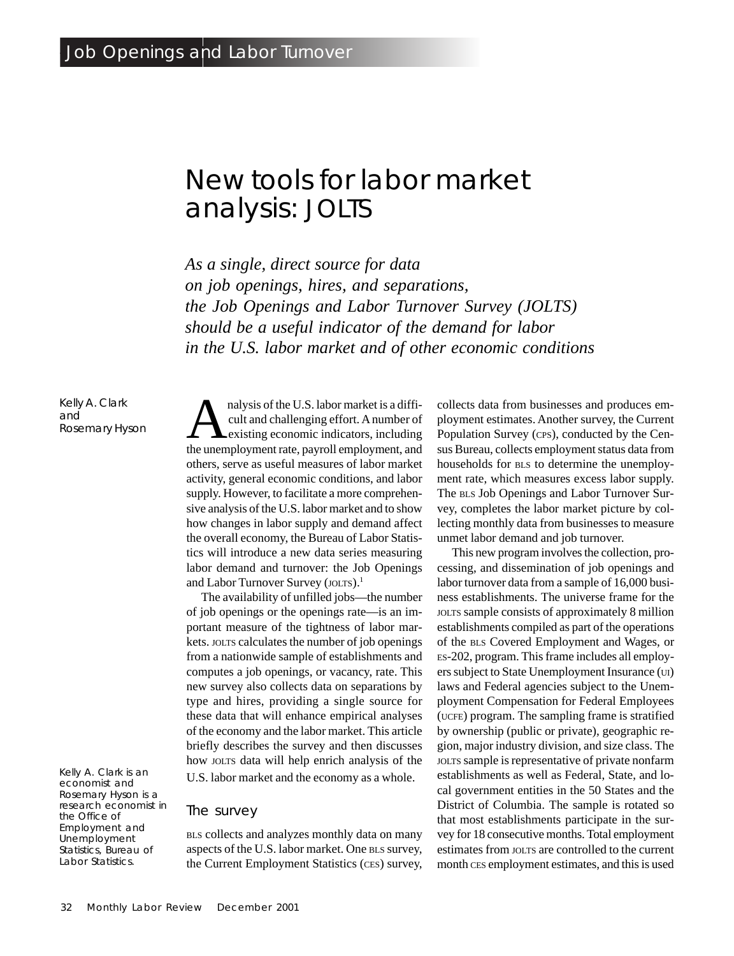## **New tools for labor market analysis: JOLTS**

*As a single, direct source for data on job openings, hires, and separations, the Job Openings and Labor Turnover Survey (JOLTS) should be a useful indicator of the demand for labor in the U.S. labor market and of other economic conditions*

Kelly A. Clark and Rosemary Hyson

Kelly A. Clark is an economist and Rosemary Hyson is a research economist in the Office of Employment and Unemployment Statistics, Bureau of Labor Statistics.

analysis of the U.S. labor market is a difficult and challenging effort. A number of existing economic indicators, including cult and challenging effort. A number of the unemployment rate, payroll employment, and others, serve as useful measures of labor market activity, general economic conditions, and labor supply. However, to facilitate a more comprehensive analysis of the U.S. labor market and to show how changes in labor supply and demand affect the overall economy, the Bureau of Labor Statistics will introduce a new data series measuring labor demand and turnover: the Job Openings and Labor Turnover Survey (JOLTS).<sup>1</sup>

The availability of unfilled jobs—the number of job openings or the openings rate—is an important measure of the tightness of labor markets. JOLTS calculates the number of job openings from a nationwide sample of establishments and computes a job openings, or vacancy, rate. This new survey also collects data on separations by type and hires, providing a single source for these data that will enhance empirical analyses of the economy and the labor market. This article briefly describes the survey and then discusses how JOLTS data will help enrich analysis of the

U.S. labor market and the economy as a whole.

## **The survey**

BLS collects and analyzes monthly data on many aspects of the U.S. labor market. One BLS survey, the Current Employment Statistics (CES) survey, collects data from businesses and produces employment estimates. Another survey, the Current Population Survey (CPS), conducted by the Census Bureau, collects employment status data from households for BLS to determine the unemployment rate, which measures excess labor supply. The BLS Job Openings and Labor Turnover Survey, completes the labor market picture by collecting monthly data from businesses to measure unmet labor demand and job turnover.

This new program involves the collection, processing, and dissemination of job openings and labor turnover data from a sample of 16,000 business establishments. The universe frame for the JOLTS sample consists of approximately 8 million establishments compiled as part of the operations of the BLS Covered Employment and Wages, or ES-202, program. This frame includes all employers subject to State Unemployment Insurance (UI) laws and Federal agencies subject to the Unemployment Compensation for Federal Employees (UCFE) program. The sampling frame is stratified by ownership (public or private), geographic region, major industry division, and size class. The JOLTS sample is representative of private nonfarm establishments as well as Federal, State, and local government entities in the 50 States and the District of Columbia. The sample is rotated so that most establishments participate in the survey for 18 consecutive months. Total employment estimates from JOLTS are controlled to the current month CES employment estimates, and this is used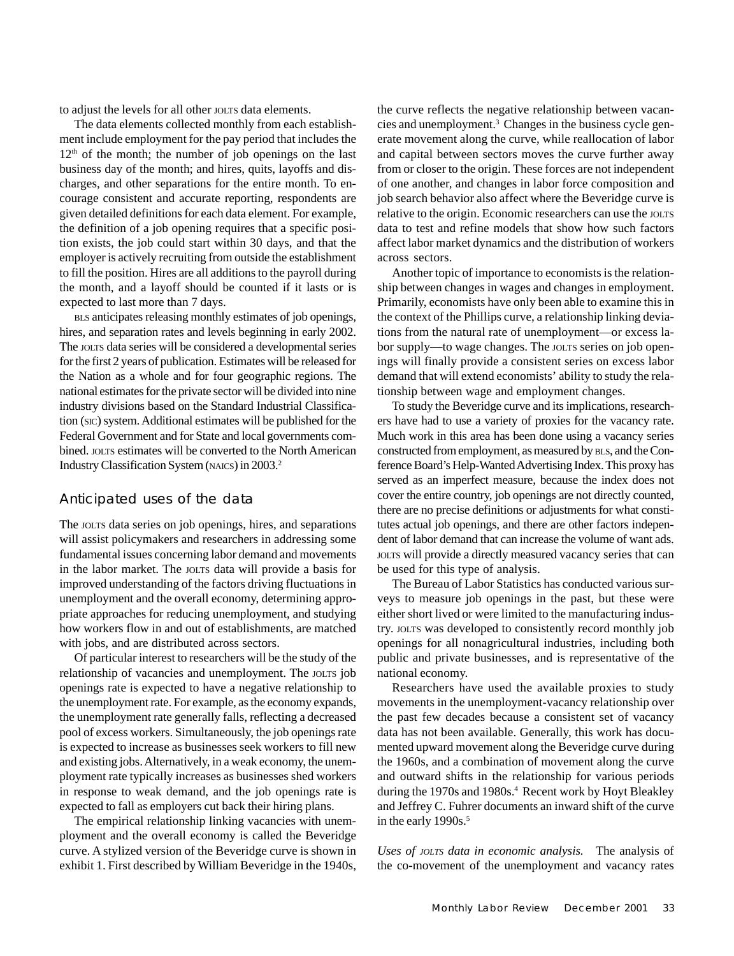to adjust the levels for all other JOLTS data elements.

The data elements collected monthly from each establishment include employment for the pay period that includes the  $12<sup>th</sup>$  of the month; the number of job openings on the last business day of the month; and hires, quits, layoffs and discharges, and other separations for the entire month. To encourage consistent and accurate reporting, respondents are given detailed definitions for each data element. For example, the definition of a job opening requires that a specific position exists, the job could start within 30 days, and that the employer is actively recruiting from outside the establishment to fill the position. Hires are all additions to the payroll during the month, and a layoff should be counted if it lasts or is expected to last more than 7 days.

BLS anticipates releasing monthly estimates of job openings, hires, and separation rates and levels beginning in early 2002. The JOLTS data series will be considered a developmental series for the first 2 years of publication. Estimates will be released for the Nation as a whole and for four geographic regions. The national estimates for the private sector will be divided into nine industry divisions based on the Standard Industrial Classification (SIC) system. Additional estimates will be published for the Federal Government and for State and local governments combined. JOLTS estimates will be converted to the North American Industry Classification System (NAICS) in 2003.2

## **Anticipated uses of the data**

The JOLTS data series on job openings, hires, and separations will assist policymakers and researchers in addressing some fundamental issues concerning labor demand and movements in the labor market. The JOLTS data will provide a basis for improved understanding of the factors driving fluctuations in unemployment and the overall economy, determining appropriate approaches for reducing unemployment, and studying how workers flow in and out of establishments, are matched with jobs, and are distributed across sectors.

Of particular interest to researchers will be the study of the relationship of vacancies and unemployment. The JOLTS job openings rate is expected to have a negative relationship to the unemployment rate. For example, as the economy expands, the unemployment rate generally falls, reflecting a decreased pool of excess workers. Simultaneously, the job openings rate is expected to increase as businesses seek workers to fill new and existing jobs. Alternatively, in a weak economy, the unemployment rate typically increases as businesses shed workers in response to weak demand, and the job openings rate is expected to fall as employers cut back their hiring plans.

The empirical relationship linking vacancies with unemployment and the overall economy is called the Beveridge curve. A stylized version of the Beveridge curve is shown in exhibit 1. First described by William Beveridge in the 1940s,

the curve reflects the negative relationship between vacancies and unemployment.3 Changes in the business cycle generate movement along the curve, while reallocation of labor and capital between sectors moves the curve further away from or closer to the origin. These forces are not independent of one another, and changes in labor force composition and job search behavior also affect where the Beveridge curve is relative to the origin. Economic researchers can use the JOLTS data to test and refine models that show how such factors affect labor market dynamics and the distribution of workers across sectors.

Another topic of importance to economists is the relationship between changes in wages and changes in employment. Primarily, economists have only been able to examine this in the context of the Phillips curve, a relationship linking deviations from the natural rate of unemployment—or excess labor supply—to wage changes. The JOLTS series on job openings will finally provide a consistent series on excess labor demand that will extend economists' ability to study the relationship between wage and employment changes.

To study the Beveridge curve and its implications, researchers have had to use a variety of proxies for the vacancy rate. Much work in this area has been done using a vacancy series constructed from employment, as measured by BLS, and the Conference Board's Help-Wanted Advertising Index. This proxy has served as an imperfect measure, because the index does not cover the entire country, job openings are not directly counted, there are no precise definitions or adjustments for what constitutes actual job openings, and there are other factors independent of labor demand that can increase the volume of want ads. JOLTS will provide a directly measured vacancy series that can be used for this type of analysis.

The Bureau of Labor Statistics has conducted various surveys to measure job openings in the past, but these were either short lived or were limited to the manufacturing industry. JOLTS was developed to consistently record monthly job openings for all nonagricultural industries, including both public and private businesses, and is representative of the national economy.

Researchers have used the available proxies to study movements in the unemployment-vacancy relationship over the past few decades because a consistent set of vacancy data has not been available. Generally, this work has documented upward movement along the Beveridge curve during the 1960s, and a combination of movement along the curve and outward shifts in the relationship for various periods during the 1970s and 1980s.<sup>4</sup> Recent work by Hoyt Bleakley and Jeffrey C. Fuhrer documents an inward shift of the curve in the early 1990s.<sup>5</sup>

*Uses of JOLTS data in economic analysis.* The analysis of the co-movement of the unemployment and vacancy rates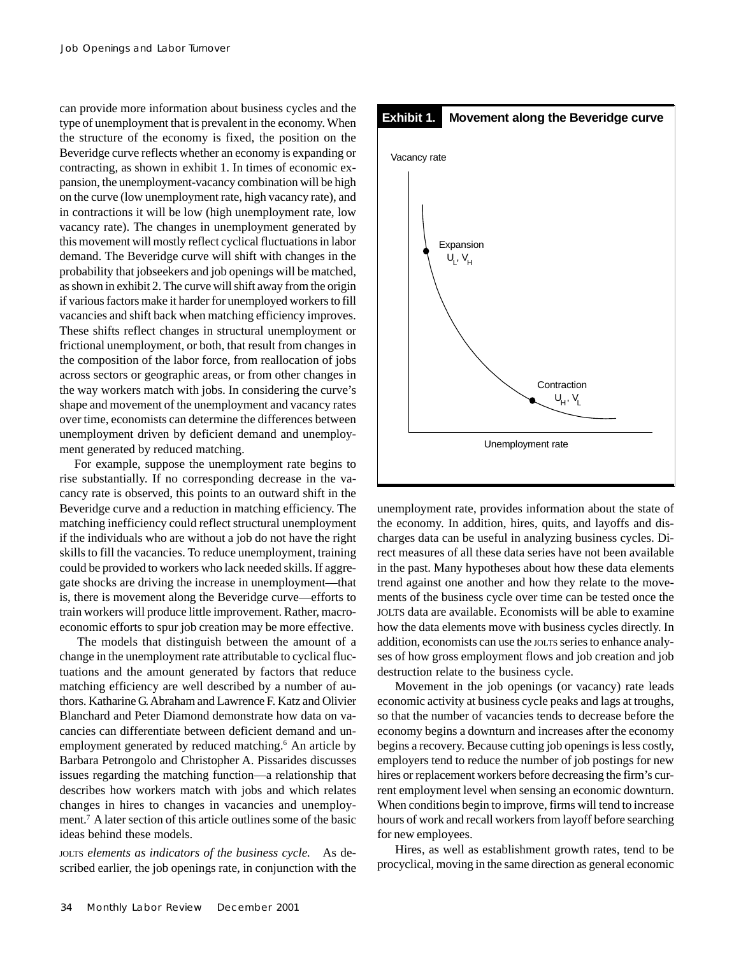can provide more information about business cycles and the type of unemployment that is prevalent in the economy. When the structure of the economy is fixed, the position on the Beveridge curve reflects whether an economy is expanding or contracting, as shown in exhibit 1. In times of economic expansion, the unemployment-vacancy combination will be high on the curve (low unemployment rate, high vacancy rate), and in contractions it will be low (high unemployment rate, low vacancy rate). The changes in unemployment generated by this movement will mostly reflect cyclical fluctuations in labor demand. The Beveridge curve will shift with changes in the probability that jobseekers and job openings will be matched, as shown in exhibit 2. The curve will shift away from the origin if various factors make it harder for unemployed workers to fill vacancies and shift back when matching efficiency improves. These shifts reflect changes in structural unemployment or frictional unemployment, or both, that result from changes in the composition of the labor force, from reallocation of jobs across sectors or geographic areas, or from other changes in the way workers match with jobs. In considering the curve's shape and movement of the unemployment and vacancy rates over time, economists can determine the differences between unemployment driven by deficient demand and unemployment generated by reduced matching.

For example, suppose the unemployment rate begins to rise substantially. If no corresponding decrease in the vacancy rate is observed, this points to an outward shift in the Beveridge curve and a reduction in matching efficiency. The matching inefficiency could reflect structural unemployment if the individuals who are without a job do not have the right skills to fill the vacancies. To reduce unemployment, training could be provided to workers who lack needed skills. If aggregate shocks are driving the increase in unemployment—that is, there is movement along the Beveridge curve—efforts to train workers will produce little improvement. Rather, macroeconomic efforts to spur job creation may be more effective.

The models that distinguish between the amount of a change in the unemployment rate attributable to cyclical fluctuations and the amount generated by factors that reduce matching efficiency are well described by a number of authors. Katharine G. Abraham and Lawrence F. Katz and Olivier Blanchard and Peter Diamond demonstrate how data on vacancies can differentiate between deficient demand and unemployment generated by reduced matching.<sup>6</sup> An article by Barbara Petrongolo and Christopher A. Pissarides discusses issues regarding the matching function—a relationship that describes how workers match with jobs and which relates changes in hires to changes in vacancies and unemployment.7 A later section of this article outlines some of the basic ideas behind these models.

JOLTS *elements as indicators of the business cycle.* As described earlier, the job openings rate, in conjunction with the



unemployment rate, provides information about the state of the economy. In addition, hires, quits, and layoffs and discharges data can be useful in analyzing business cycles. Direct measures of all these data series have not been available in the past. Many hypotheses about how these data elements trend against one another and how they relate to the movements of the business cycle over time can be tested once the JOLTS data are available. Economists will be able to examine how the data elements move with business cycles directly. In addition, economists can use the JOLTS series to enhance analyses of how gross employment flows and job creation and job destruction relate to the business cycle.

Movement in the job openings (or vacancy) rate leads economic activity at business cycle peaks and lags at troughs, so that the number of vacancies tends to decrease before the economy begins a downturn and increases after the economy begins a recovery. Because cutting job openings is less costly, employers tend to reduce the number of job postings for new hires or replacement workers before decreasing the firm's current employment level when sensing an economic downturn. When conditions begin to improve, firms will tend to increase hours of work and recall workers from layoff before searching for new employees.

Hires, as well as establishment growth rates, tend to be procyclical, moving in the same direction as general economic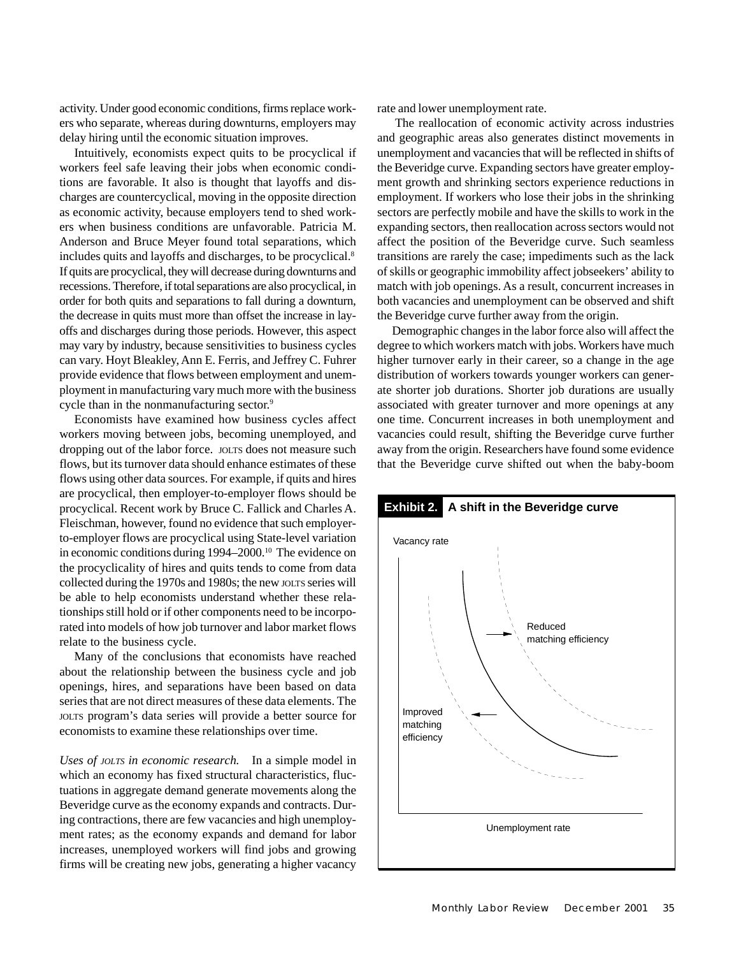activity. Under good economic conditions, firms replace workers who separate, whereas during downturns, employers may delay hiring until the economic situation improves.

Intuitively, economists expect quits to be procyclical if workers feel safe leaving their jobs when economic conditions are favorable. It also is thought that layoffs and discharges are countercyclical, moving in the opposite direction as economic activity, because employers tend to shed workers when business conditions are unfavorable. Patricia M. Anderson and Bruce Meyer found total separations, which includes quits and layoffs and discharges, to be procyclical.8 If quits are procyclical, they will decrease during downturns and recessions. Therefore, if total separations are also procyclical, in order for both quits and separations to fall during a downturn, the decrease in quits must more than offset the increase in layoffs and discharges during those periods. However, this aspect may vary by industry, because sensitivities to business cycles can vary. Hoyt Bleakley, Ann E. Ferris, and Jeffrey C. Fuhrer provide evidence that flows between employment and unemployment in manufacturing vary much more with the business cycle than in the nonmanufacturing sector.<sup>9</sup>

Economists have examined how business cycles affect workers moving between jobs, becoming unemployed, and dropping out of the labor force. JOLTS does not measure such flows, but its turnover data should enhance estimates of these flows using other data sources. For example, if quits and hires are procyclical, then employer-to-employer flows should be procyclical. Recent work by Bruce C. Fallick and Charles A. Fleischman, however, found no evidence that such employerto-employer flows are procyclical using State-level variation in economic conditions during 1994–2000.10 The evidence on the procyclicality of hires and quits tends to come from data collected during the 1970s and 1980s; the new JOLTS series will be able to help economists understand whether these relationships still hold or if other components need to be incorporated into models of how job turnover and labor market flows relate to the business cycle.

Many of the conclusions that economists have reached about the relationship between the business cycle and job openings, hires, and separations have been based on data series that are not direct measures of these data elements. The JOLTS program's data series will provide a better source for economists to examine these relationships over time.

*Uses of JOLTS in economic research.* In a simple model in which an economy has fixed structural characteristics, fluctuations in aggregate demand generate movements along the Beveridge curve as the economy expands and contracts. During contractions, there are few vacancies and high unemployment rates; as the economy expands and demand for labor increases, unemployed workers will find jobs and growing firms will be creating new jobs, generating a higher vacancy

rate and lower unemployment rate.

The reallocation of economic activity across industries and geographic areas also generates distinct movements in unemployment and vacancies that will be reflected in shifts of the Beveridge curve. Expanding sectors have greater employment growth and shrinking sectors experience reductions in employment. If workers who lose their jobs in the shrinking sectors are perfectly mobile and have the skills to work in the expanding sectors, then reallocation across sectors would not affect the position of the Beveridge curve. Such seamless transitions are rarely the case; impediments such as the lack of skills or geographic immobility affect jobseekers' ability to match with job openings. As a result, concurrent increases in both vacancies and unemployment can be observed and shift the Beveridge curve further away from the origin.

Demographic changes in the labor force also will affect the degree to which workers match with jobs. Workers have much higher turnover early in their career, so a change in the age distribution of workers towards younger workers can generate shorter job durations. Shorter job durations are usually associated with greater turnover and more openings at any one time. Concurrent increases in both unemployment and vacancies could result, shifting the Beveridge curve further away from the origin. Researchers have found some evidence that the Beveridge curve shifted out when the baby-boom

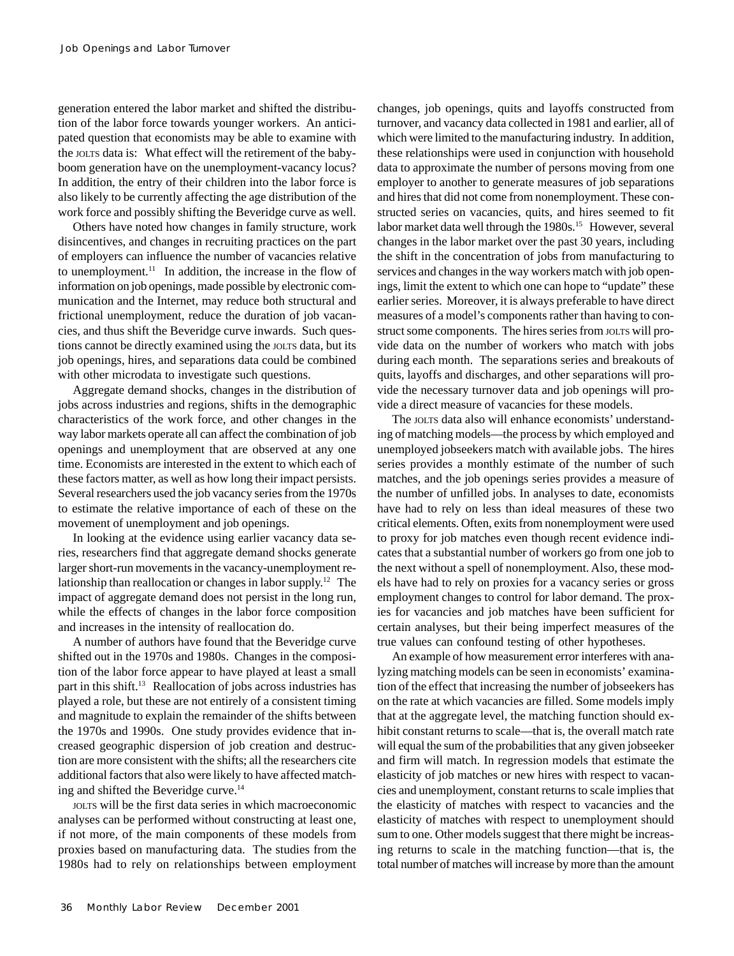generation entered the labor market and shifted the distribution of the labor force towards younger workers. An anticipated question that economists may be able to examine with the JOLTS data is: What effect will the retirement of the babyboom generation have on the unemployment-vacancy locus? In addition, the entry of their children into the labor force is also likely to be currently affecting the age distribution of the work force and possibly shifting the Beveridge curve as well.

Others have noted how changes in family structure, work disincentives, and changes in recruiting practices on the part of employers can influence the number of vacancies relative to unemployment.<sup>11</sup> In addition, the increase in the flow of information on job openings, made possible by electronic communication and the Internet, may reduce both structural and frictional unemployment, reduce the duration of job vacancies, and thus shift the Beveridge curve inwards. Such questions cannot be directly examined using the JOLTS data, but its job openings, hires, and separations data could be combined with other microdata to investigate such questions.

Aggregate demand shocks, changes in the distribution of jobs across industries and regions, shifts in the demographic characteristics of the work force, and other changes in the way labor markets operate all can affect the combination of job openings and unemployment that are observed at any one time. Economists are interested in the extent to which each of these factors matter, as well as how long their impact persists. Several researchers used the job vacancy series from the 1970s to estimate the relative importance of each of these on the movement of unemployment and job openings.

In looking at the evidence using earlier vacancy data series, researchers find that aggregate demand shocks generate larger short-run movements in the vacancy-unemployment relationship than reallocation or changes in labor supply.12 The impact of aggregate demand does not persist in the long run, while the effects of changes in the labor force composition and increases in the intensity of reallocation do.

A number of authors have found that the Beveridge curve shifted out in the 1970s and 1980s. Changes in the composition of the labor force appear to have played at least a small part in this shift.<sup>13</sup> Reallocation of jobs across industries has played a role, but these are not entirely of a consistent timing and magnitude to explain the remainder of the shifts between the 1970s and 1990s. One study provides evidence that increased geographic dispersion of job creation and destruction are more consistent with the shifts; all the researchers cite additional factors that also were likely to have affected matching and shifted the Beveridge curve.<sup>14</sup>

JOLTS will be the first data series in which macroeconomic analyses can be performed without constructing at least one, if not more, of the main components of these models from proxies based on manufacturing data. The studies from the 1980s had to rely on relationships between employment changes, job openings, quits and layoffs constructed from turnover, and vacancy data collected in 1981 and earlier, all of which were limited to the manufacturing industry. In addition, these relationships were used in conjunction with household data to approximate the number of persons moving from one employer to another to generate measures of job separations and hires that did not come from nonemployment. These constructed series on vacancies, quits, and hires seemed to fit labor market data well through the 1980s.<sup>15</sup> However, several changes in the labor market over the past 30 years, including the shift in the concentration of jobs from manufacturing to services and changes in the way workers match with job openings, limit the extent to which one can hope to "update" these earlier series. Moreover, it is always preferable to have direct measures of a model's components rather than having to construct some components. The hires series from JOLTS will provide data on the number of workers who match with jobs during each month. The separations series and breakouts of quits, layoffs and discharges, and other separations will provide the necessary turnover data and job openings will provide a direct measure of vacancies for these models.

The JOLTS data also will enhance economists' understanding of matching models—the process by which employed and unemployed jobseekers match with available jobs. The hires series provides a monthly estimate of the number of such matches, and the job openings series provides a measure of the number of unfilled jobs. In analyses to date, economists have had to rely on less than ideal measures of these two critical elements. Often, exits from nonemployment were used to proxy for job matches even though recent evidence indicates that a substantial number of workers go from one job to the next without a spell of nonemployment. Also, these models have had to rely on proxies for a vacancy series or gross employment changes to control for labor demand. The proxies for vacancies and job matches have been sufficient for certain analyses, but their being imperfect measures of the true values can confound testing of other hypotheses.

An example of how measurement error interferes with analyzing matching models can be seen in economists' examination of the effect that increasing the number of jobseekers has on the rate at which vacancies are filled. Some models imply that at the aggregate level, the matching function should exhibit constant returns to scale—that is, the overall match rate will equal the sum of the probabilities that any given jobseeker and firm will match. In regression models that estimate the elasticity of job matches or new hires with respect to vacancies and unemployment, constant returns to scale implies that the elasticity of matches with respect to vacancies and the elasticity of matches with respect to unemployment should sum to one. Other models suggest that there might be increasing returns to scale in the matching function—that is, the total number of matches will increase by more than the amount